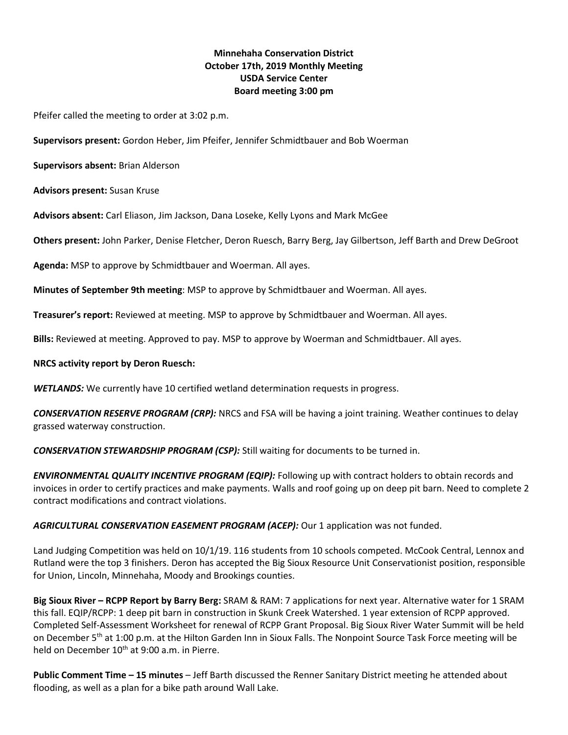# **Minnehaha Conservation District October 17th, 2019 Monthly Meeting USDA Service Center Board meeting 3:00 pm**

Pfeifer called the meeting to order at 3:02 p.m.

**Supervisors present:** Gordon Heber, Jim Pfeifer, Jennifer Schmidtbauer and Bob Woerman

**Supervisors absent:** Brian Alderson

**Advisors present:** Susan Kruse

**Advisors absent:** Carl Eliason, Jim Jackson, Dana Loseke, Kelly Lyons and Mark McGee

**Others present:** John Parker, Denise Fletcher, Deron Ruesch, Barry Berg, Jay Gilbertson, Jeff Barth and Drew DeGroot

**Agenda:** MSP to approve by Schmidtbauer and Woerman. All ayes.

**Minutes of September 9th meeting**: MSP to approve by Schmidtbauer and Woerman. All ayes.

**Treasurer's report:** Reviewed at meeting. MSP to approve by Schmidtbauer and Woerman. All ayes.

**Bills:** Reviewed at meeting. Approved to pay. MSP to approve by Woerman and Schmidtbauer. All ayes.

### **NRCS activity report by Deron Ruesch:**

*WETLANDS:* We currently have 10 certified wetland determination requests in progress.

*CONSERVATION RESERVE PROGRAM (CRP):* NRCS and FSA will be having a joint training. Weather continues to delay grassed waterway construction.

*CONSERVATION STEWARDSHIP PROGRAM (CSP):* Still waiting for documents to be turned in.

*ENVIRONMENTAL QUALITY INCENTIVE PROGRAM (EQIP):* Following up with contract holders to obtain records and invoices in order to certify practices and make payments. Walls and roof going up on deep pit barn. Need to complete 2 contract modifications and contract violations.

*AGRICULTURAL CONSERVATION EASEMENT PROGRAM (ACEP):* Our 1 application was not funded.

Land Judging Competition was held on 10/1/19. 116 students from 10 schools competed. McCook Central, Lennox and Rutland were the top 3 finishers. Deron has accepted the Big Sioux Resource Unit Conservationist position, responsible for Union, Lincoln, Minnehaha, Moody and Brookings counties.

**Big Sioux River – RCPP Report by Barry Berg:** SRAM & RAM: 7 applications for next year. Alternative water for 1 SRAM this fall. EQIP/RCPP: 1 deep pit barn in construction in Skunk Creek Watershed. 1 year extension of RCPP approved. Completed Self-Assessment Worksheet for renewal of RCPP Grant Proposal. Big Sioux River Water Summit will be held on December 5<sup>th</sup> at 1:00 p.m. at the Hilton Garden Inn in Sioux Falls. The Nonpoint Source Task Force meeting will be held on December 10<sup>th</sup> at 9:00 a.m. in Pierre.

**Public Comment Time – 15 minutes** – Jeff Barth discussed the Renner Sanitary District meeting he attended about flooding, as well as a plan for a bike path around Wall Lake.